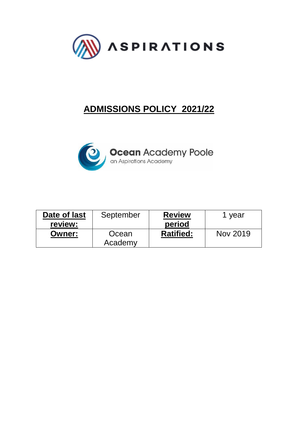

# **ADMISSIONS POLICY 2021/22**



| Date of last  | September        | <b>Review</b>    | year     |
|---------------|------------------|------------------|----------|
| review:       |                  | period           |          |
| <b>Owner:</b> | Ocean<br>Academy | <b>Ratified:</b> | Nov 2019 |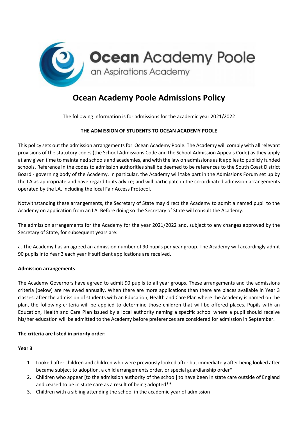

# **Ocean Academy Poole Admissions Policy**

The following information is for admissions for the academic year 2021/2022

# **THE ADMISSION OF STUDENTS TO OCEAN ACADEMY POOLE**

This policy sets out the admission arrangements for Ocean Academy Poole. The Academy will comply with all relevant provisions of the statutory codes (the School Admissions Code and the School Admission Appeals Code) as they apply at any given time to maintained schools and academies, and with the law on admissions as it applies to publicly funded schools. Reference in the codes to admission authorities shall be deemed to be references to the South Coast District Board - governing body of the Academy. In particular, the Academy will take part in the Admissions Forum set up by the LA as appropriate and have regard to its advice; and will participate in the co-ordinated admission arrangements operated by the LA, including the local Fair Access Protocol.

Notwithstanding these arrangements, the Secretary of State may direct the Academy to admit a named pupil to the Academy on application from an LA. Before doing so the Secretary of State will consult the Academy.

The admission arrangements for the Academy for the year 2021/2022 and, subject to any changes approved by the Secretary of State, for subsequent years are:

a. The Academy has an agreed an admission number of 90 pupils per year group. The Academy will accordingly admit 90 pupils into Year 3 each year if sufficient applications are received.

# **Admission arrangements**

The Academy Governors have agreed to admit 90 pupils to all year groups. These arrangements and the admissions criteria (below) are reviewed annually. When there are more applications than there are places available in Year 3 classes, after the admission of students with an Education, Health and Care Plan where the Academy is named on the plan, the following criteria will be applied to determine those children that will be offered places. Pupils with an Education, Health and Care Plan issued by a local authority naming a specific school where a pupil should receive his/her education will be admitted to the Academy before preferences are considered for admission in September.

# **The criteria are listed in priority order:**

#### **Year 3**

- 1. Looked after children and children who were previously looked after but immediately after being looked after became subject to adoption, a child arrangements order, or special guardianship order\*
- 2. Children who appear [to the admission authority of the school] to have been in state care outside of England and ceased to be in state care as a result of being adopted\*\*
- 3. Children with a sibling attending the school in the academic year of admission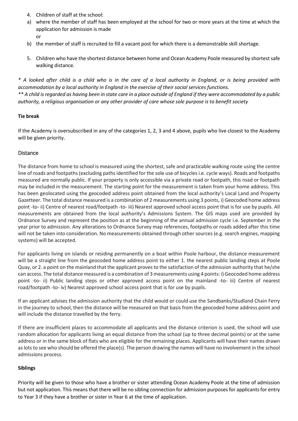- 4. Children of staff at the school:
- a) where the member of staff has been employed at the school for two or more years at the time at which the application for admission is made or
- b) the member of staff is recruited to fill a vacant post for which there is a demonstrable skill shortage.
- 5. Children who have the shortest distance between home and Ocean Academy Poole measured by shortest safe walking distance.

*\* A looked after child is a child who is in the care of a local authority in England, or is being provided with accommodation by a local authority in England in the exercise of their social services functions. \*\* A child is regarded as having been in state care in a place outside of England if they were accommodated by a public authority, a religious organisation or any other provider of care whose sole purpose is to benefit society*

#### **Tie break**

If the Academy is oversubscribed in any of the categories 1, 2, 3 and 4 above, pupils who live closest to the Academy will be given priority.

# Distance

The distance from home to school is measured using the shortest, safe and practicable walking route using the centre line of roads and footpaths (excluding paths identified for the sole use of bicycles i.e. cycle ways). Roads and footpaths measured are normally public. If your property is only accessible via a private road or footpath, this road or footpath may be included in the measurement. The starting point for the measurement is taken from your home address. This has been geolocated using the geocoded address point obtained from the local authority's Local Land and Property Gazetteer. The total distance measured is a combination of 2 measurements using 3 points, i) Geocoded home address point -to- ii) Centre of nearest road/footpath -to- iii) Nearest approved school access point that is for use by pupils. All measurements are obtained from the local authority's Admissions System. The GIS maps used are provided by Ordnance Survey and represent the position as at the beginning of the annual admission cycle i.e. September in the year prior to admission. Any alterations to Ordnance Survey map references, footpaths or roads added after this time will not be taken into consideration. No measurements obtained through other sources (e.g. search engines, mapping systems) will be accepted.

For applicants living on islands or residing permanently on a boat within Poole harbour, the distance measurement will be a straight line from the geocoded home address point to either 1. the nearest public landing steps at Poole Quay, or 2. a point on the mainland that the applicant proves to the satisfaction of the admission authority that he/she can access. The total distance measured is a combination of 3 measurements using 4 points: i) Geocoded home address point -to- ii) Public landing steps or other approved access point on the mainland -to- iii) Centre of nearest road/footpath -to- iv) Nearest approved school access point that is for use by pupils.

If an applicant advises the admission authority that the child would or could use the Sandbanks/Studland Chain Ferry in the journey to school, then the distance will be measured on that basis from the geocoded home address point and will include the distance travelled by the ferry.

If there are insufficient places to accommodate all applicants and the distance criterion is used, the school will use random allocation for applicants living an equal distance from the school (up to three decimal points) or at the same address or in the same block of flats who are eligible for the remaining places. Applicants will have their names drawn as lots to see who should be offered the place(s). The person drawing the names will have no involvement in the school admissions process.

# **Siblings**

Priority will be given to those who have a brother or sister attending Ocean Academy Poole at the time of admission but not application. This means that there will be no sibling connection for admission purposes for applicants for entry to Year 3 if they have a brother or sister in Year 6 at the time of application.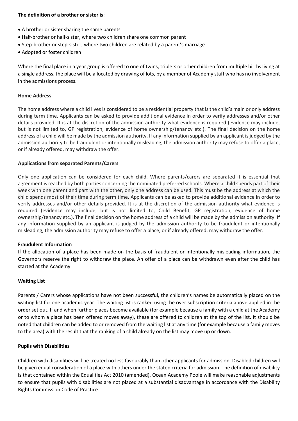#### **The definition of a brother or sister is**:

- A brother or sister sharing the same parents
- Half-brother or half-sister, where two children share one common parent
- Step-brother or step-sister, where two children are related by a parent's marriage
- Adopted or foster children

Where the final place in a year group is offered to one of twins, triplets or other children from multiple births living at a single address, the place will be allocated by drawing of lots, by a member of Academy staff who has no involvement in the admissions process.

#### **Home Address**

The home address where a child lives is considered to be a residential property that is the child's main or only address during term time. Applicants can be asked to provide additional evidence in order to verify addresses and/or other details provided. It is at the discretion of the admission authority what evidence is required (evidence may include, but is not limited to, GP registration, evidence of home ownership/tenancy etc.). The final decision on the home address of a child will be made by the admission authority. If any information supplied by an applicant is judged by the admission authority to be fraudulent or intentionally misleading, the admission authority may refuse to offer a place, or if already offered, may withdraw the offer.

#### **Applications from separated Parents/Carers**

Only one application can be considered for each child. Where parents/carers are separated it is essential that agreement is reached by both parties concerning the nominated preferred schools. Where a child spends part of their week with one parent and part with the other, only one address can be used. This must be the address at which the child spends most of their time during term time. Applicants can be asked to provide additional evidence in order to verify addresses and/or other details provided. It is at the discretion of the admission authority what evidence is required (evidence may include, but is not limited to, Child Benefit, GP registration, evidence of home ownership/tenancy etc.). The final decision on the home address of a child will be made by the admission authority. If any information supplied by an applicant is judged by the admission authority to be fraudulent or intentionally misleading, the admission authority may refuse to offer a place, or if already offered, may withdraw the offer.

#### **Fraudulent Information**

If the allocation of a place has been made on the basis of fraudulent or intentionally misleading information, the Governors reserve the right to withdraw the place. An offer of a place can be withdrawn even after the child has started at the Academy.

#### **Waiting List**

Parents / Carers whose applications have not been successful, the children's names be automatically placed on the waiting list for one academic year. The waiting list is ranked using the over subscription criteria above applied in the order set out. If and when further places become available (for example because a family with a child at the Academy or to whom a place has been offered moves away), these are offered to children at the top of the list. It should be noted that children can be added to or removed from the waiting list at any time (for example because a family moves to the area) with the result that the ranking of a child already on the list may move up or down.

#### **Pupils with Disabilities**

Children with disabilities will be treated no less favourably than other applicants for admission. Disabled children will be given equal consideration of a place with others under the stated criteria for admission. The definition of disability is that contained within the Equalities Act 2010 (amended). Ocean Academy Poole will make reasonable adjustments to ensure that pupils with disabilities are not placed at a substantial disadvantage in accordance with the Disability Rights Commission Code of Practice.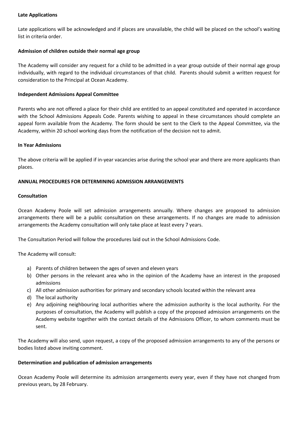#### **Late Applications**

Late applications will be acknowledged and if places are unavailable, the child will be placed on the school's waiting list in criteria order.

#### **Admission of children outside their normal age group**

The Academy will consider any request for a child to be admitted in a year group outside of their normal age group individually, with regard to the individual circumstances of that child. Parents should submit a written request for consideration to the Principal at Ocean Academy.

#### **Independent Admissions Appeal Committee**

Parents who are not offered a place for their child are entitled to an appeal constituted and operated in accordance with the School Admissions Appeals Code. Parents wishing to appeal in these circumstances should complete an appeal form available from the Academy. The form should be sent to the Clerk to the Appeal Committee, via the Academy, within 20 school working days from the notification of the decision not to admit.

#### **In Year Admissions**

The above criteria will be applied if in-year vacancies arise during the school year and there are more applicants than places.

#### **ANNUAL PROCEDURES FOR DETERMINING ADMISSION ARRANGEMENTS**

#### **Consultation**

Ocean Academy Poole will set admission arrangements annually. Where changes are proposed to admission arrangements there will be a public consultation on these arrangements. If no changes are made to admission arrangements the Academy consultation will only take place at least every 7 years.

The Consultation Period will follow the procedures laid out in the School Admissions Code.

The Academy will consult:

- a) Parents of children between the ages of seven and eleven years
- b) Other persons in the relevant area who in the opinion of the Academy have an interest in the proposed admissions
- c) All other admission authorities for primary and secondary schools located within the relevant area
- d) The local authority
- e) Any adjoining neighbouring local authorities where the admission authority is the local authority. For the purposes of consultation, the Academy will publish a copy of the proposed admission arrangements on the Academy website together with the contact details of the Admissions Officer, to whom comments must be sent.

The Academy will also send, upon request, a copy of the proposed admission arrangements to any of the persons or bodies listed above inviting comment.

#### **Determination and publication of admission arrangements**

Ocean Academy Poole will determine its admission arrangements every year, even if they have not changed from previous years, by 28 February.